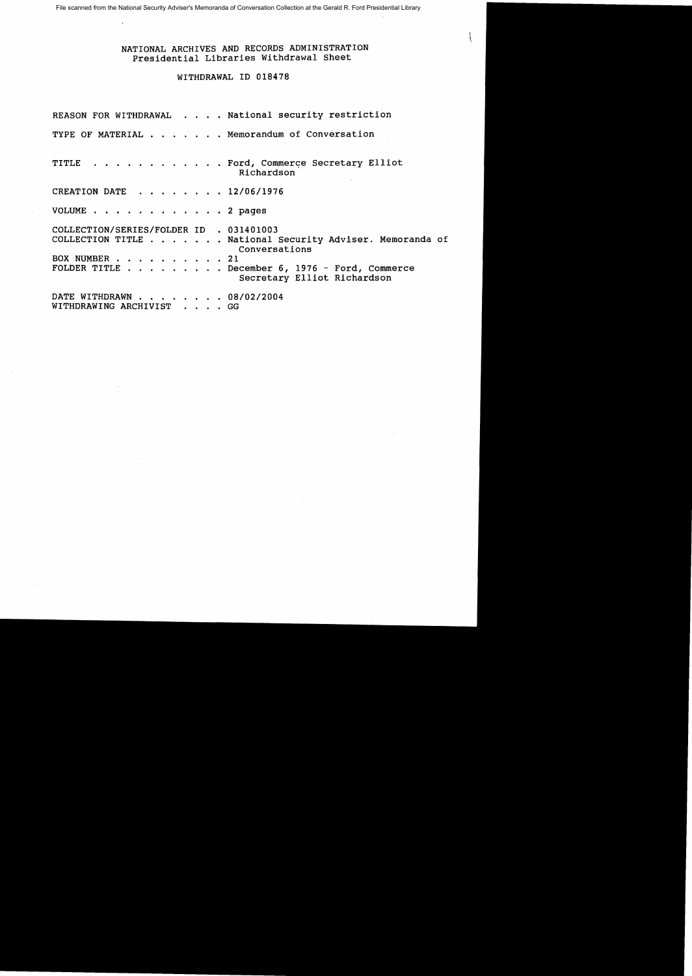File scanned from the National Security Adviser's Memoranda of Conversation Collection at the Gerald R. Ford Presidential Library

## NATIONAL ARCHIVES AND RECORDS ADMINISTRATION Presidential Libraries Withdrawal Sheet

## WITHDRAWAL ID 018478

|                                                          | REASON FOR WITHDRAWAL National security restriction                                    |  |
|----------------------------------------------------------|----------------------------------------------------------------------------------------|--|
|                                                          | TYPE OF MATERIAL Memorandum of Conversation                                            |  |
|                                                          | TITLE Ford, Commerce Secretary Elliot<br>Richardson                                    |  |
| CREATION DATE 12/06/1976                                 |                                                                                        |  |
| VOLUME 2 pages                                           |                                                                                        |  |
| COLLECTION/SERIES/FOLDER ID . 031401003<br>BOX NUMBER 21 | COLLECTION TITLE National Security Adviser. Memoranda of<br>Conversations              |  |
|                                                          | FOLDER TITLE $\ldots$ December 6, 1976 - Ford, Commerce<br>Secretary Elliot Richardson |  |
| DATE WITHDRAWN 08/02/2004<br>WITHDRAWING ARCHIVIST GG    |                                                                                        |  |